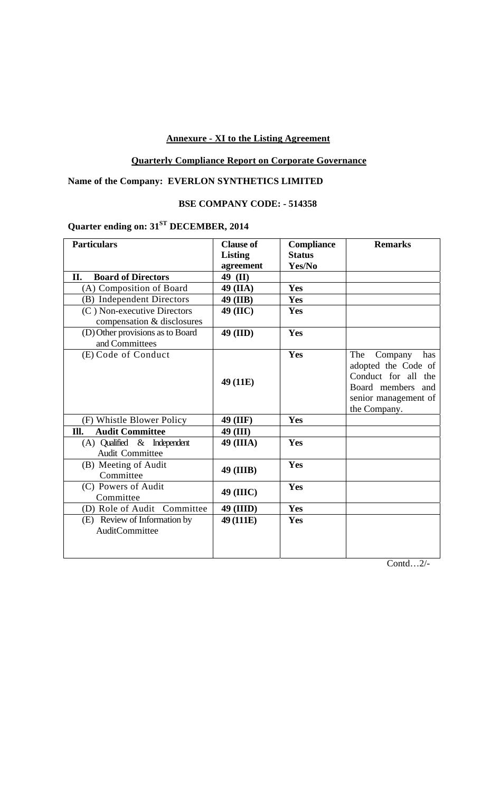## **Annexure - XI to the Listing Agreement**

# **Quarterly Compliance Report on Corporate Governance**

## **Name of the Company: EVERLON SYNTHETICS LIMITED**

# **BSE COMPANY CODE: - 514358**

# **Quarter ending on: 31ST DECEMBER, 2014**

| <b>Particulars</b>                                        | <b>Clause of</b> | <b>Compliance</b> | <b>Remarks</b>                                                                                                                   |
|-----------------------------------------------------------|------------------|-------------------|----------------------------------------------------------------------------------------------------------------------------------|
|                                                           | <b>Listing</b>   | <b>Status</b>     |                                                                                                                                  |
|                                                           | agreement        | Yes/No            |                                                                                                                                  |
| <b>Board of Directors</b><br>П.                           | 49 (II)          |                   |                                                                                                                                  |
| (A) Composition of Board                                  | 49 (IIA)         | Yes               |                                                                                                                                  |
| (B) Independent Directors                                 | 49 (IIB)         | Yes               |                                                                                                                                  |
| (C) Non-executive Directors<br>compensation & disclosures | 49 (IIC)         | Yes               |                                                                                                                                  |
| (D) Other provisions as to Board<br>and Committees        | 49 (IID)         | Yes               |                                                                                                                                  |
| (E) Code of Conduct                                       | 49 (11E)         | Yes               | Company<br>The<br>has<br>adopted the Code of<br>Conduct for all the<br>Board members and<br>senior management of<br>the Company. |
| (F) Whistle Blower Policy                                 | 49 (IIF)         | Yes               |                                                                                                                                  |
| <b>Audit Committee</b><br>Ill.                            | 49 (III)         |                   |                                                                                                                                  |
| $(A)$ Qualified & Independent<br>Audit Committee          | 49 (IIIA)        | Yes               |                                                                                                                                  |
| (B) Meeting of Audit<br>Committee                         | 49 (IIIB)        | Yes               |                                                                                                                                  |
| (C) Powers of Audit<br>Committee                          | 49 (IIIC)        | Yes               |                                                                                                                                  |
| (D) Role of Audit Committee                               | 49 (IIID)        | Yes               |                                                                                                                                  |
| (E) Review of Information by<br>AuditCommittee            | 49 (111E)        | Yes               |                                                                                                                                  |

Contd…2/-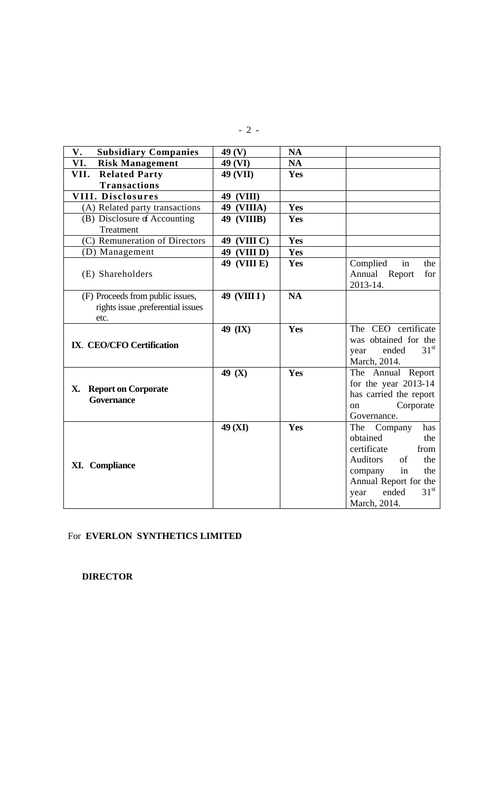| <b>Subsidiary Companies</b><br>V.                                             | 49 <sub>(V)</sub> | <b>NA</b> |                                                                                                                                                                                                |
|-------------------------------------------------------------------------------|-------------------|-----------|------------------------------------------------------------------------------------------------------------------------------------------------------------------------------------------------|
| VI.<br><b>Risk Management</b>                                                 | 49 (VI)           | <b>NA</b> |                                                                                                                                                                                                |
| <b>Related Party</b><br>VII.                                                  | 49 (VII)          | Yes       |                                                                                                                                                                                                |
| <b>Transactions</b>                                                           |                   |           |                                                                                                                                                                                                |
| <b>VIII. Disclosures</b>                                                      | 49 (VIII)         |           |                                                                                                                                                                                                |
| (A) Related party transactions                                                | 49 (VIIIA)        | Yes       |                                                                                                                                                                                                |
| (B) Disclosure of Accounting<br>Treatment                                     | <b>49 (VIIIB)</b> | Yes       |                                                                                                                                                                                                |
| (C) Remuneration of Directors                                                 | 49 (VIII C)       | Yes       |                                                                                                                                                                                                |
| (D) Management                                                                | 49 (VIII D)       | Yes       |                                                                                                                                                                                                |
| (E) Shareholders                                                              | 49 (VIII E)       | Yes       | Complied<br>the<br>in<br>Annual Report<br>for<br>2013-14.                                                                                                                                      |
| (F) Proceeds from public issues,<br>rights issue ,preferential issues<br>etc. | 49 (VIII I)       | <b>NA</b> |                                                                                                                                                                                                |
| IX. CEO/CFO Certification                                                     | 49 (IX)           | Yes       | The CEO certificate<br>was obtained for the<br>31 <sup>st</sup><br>ended<br>year<br>March, 2014.                                                                                               |
| <b>Report on Corporate</b><br>Х.<br><b>Governance</b>                         | 49 (X)            | Yes       | The Annual Report<br>for the year 2013-14<br>has carried the report<br>Corporate<br>on<br>Governance.                                                                                          |
| <b>XI.</b> Compliance                                                         | 49 (XI)           | Yes       | Company<br>has<br>The<br>obtained<br>the<br>certificate<br>from<br>Auditors<br>of<br>the<br>the<br>in<br>company<br>Annual Report for the<br>31 <sup>st</sup><br>ended<br>year<br>March, 2014. |

## For **EVERLON SYNTHETICS LIMITED**

 **DIRECTOR**